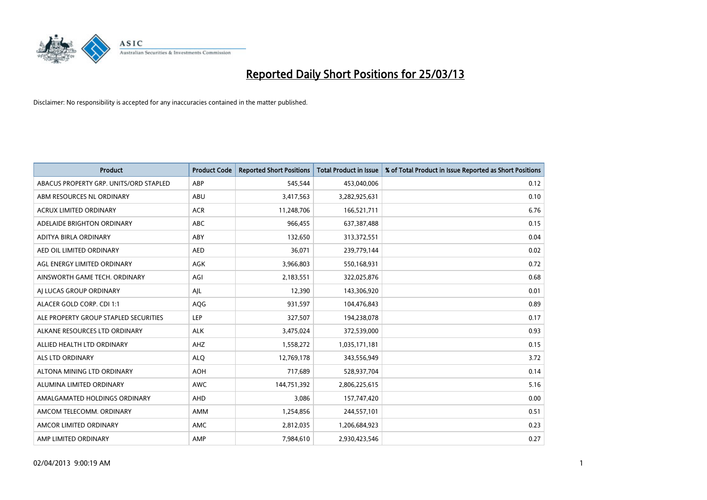

| <b>Product</b>                         | <b>Product Code</b> | <b>Reported Short Positions</b> | <b>Total Product in Issue</b> | % of Total Product in Issue Reported as Short Positions |
|----------------------------------------|---------------------|---------------------------------|-------------------------------|---------------------------------------------------------|
| ABACUS PROPERTY GRP. UNITS/ORD STAPLED | ABP                 | 545,544                         | 453,040,006                   | 0.12                                                    |
| ABM RESOURCES NL ORDINARY              | ABU                 | 3,417,563                       | 3,282,925,631                 | 0.10                                                    |
| <b>ACRUX LIMITED ORDINARY</b>          | <b>ACR</b>          | 11,248,706                      | 166,521,711                   | 6.76                                                    |
| ADELAIDE BRIGHTON ORDINARY             | <b>ABC</b>          | 966,455                         | 637, 387, 488                 | 0.15                                                    |
| ADITYA BIRLA ORDINARY                  | ABY                 | 132,650                         | 313,372,551                   | 0.04                                                    |
| AED OIL LIMITED ORDINARY               | <b>AED</b>          | 36,071                          | 239,779,144                   | 0.02                                                    |
| AGL ENERGY LIMITED ORDINARY            | AGK                 | 3,966,803                       | 550,168,931                   | 0.72                                                    |
| AINSWORTH GAME TECH. ORDINARY          | AGI                 | 2,183,551                       | 322,025,876                   | 0.68                                                    |
| AI LUCAS GROUP ORDINARY                | AJL                 | 12,390                          | 143,306,920                   | 0.01                                                    |
| ALACER GOLD CORP. CDI 1:1              | AQG                 | 931,597                         | 104,476,843                   | 0.89                                                    |
| ALE PROPERTY GROUP STAPLED SECURITIES  | <b>LEP</b>          | 327,507                         | 194,238,078                   | 0.17                                                    |
| ALKANE RESOURCES LTD ORDINARY          | <b>ALK</b>          | 3,475,024                       | 372,539,000                   | 0.93                                                    |
| ALLIED HEALTH LTD ORDINARY             | AHZ                 | 1,558,272                       | 1,035,171,181                 | 0.15                                                    |
| ALS LTD ORDINARY                       | <b>ALQ</b>          | 12,769,178                      | 343,556,949                   | 3.72                                                    |
| ALTONA MINING LTD ORDINARY             | <b>AOH</b>          | 717,689                         | 528,937,704                   | 0.14                                                    |
| ALUMINA LIMITED ORDINARY               | <b>AWC</b>          | 144,751,392                     | 2,806,225,615                 | 5.16                                                    |
| AMALGAMATED HOLDINGS ORDINARY          | AHD                 | 3,086                           | 157,747,420                   | 0.00                                                    |
| AMCOM TELECOMM, ORDINARY               | AMM                 | 1,254,856                       | 244,557,101                   | 0.51                                                    |
| AMCOR LIMITED ORDINARY                 | AMC                 | 2,812,035                       | 1,206,684,923                 | 0.23                                                    |
| AMP LIMITED ORDINARY                   | AMP                 | 7,984,610                       | 2,930,423,546                 | 0.27                                                    |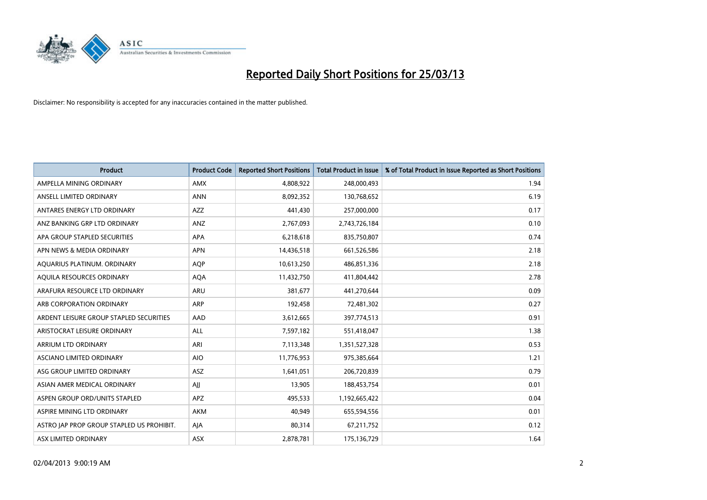

| <b>Product</b>                            | <b>Product Code</b> | <b>Reported Short Positions</b> | <b>Total Product in Issue</b> | % of Total Product in Issue Reported as Short Positions |
|-------------------------------------------|---------------------|---------------------------------|-------------------------------|---------------------------------------------------------|
| AMPELLA MINING ORDINARY                   | <b>AMX</b>          | 4,808,922                       | 248,000,493                   | 1.94                                                    |
| ANSELL LIMITED ORDINARY                   | <b>ANN</b>          | 8,092,352                       | 130,768,652                   | 6.19                                                    |
| ANTARES ENERGY LTD ORDINARY               | AZZ                 | 441,430                         | 257,000,000                   | 0.17                                                    |
| ANZ BANKING GRP LTD ORDINARY              | ANZ                 | 2,767,093                       | 2,743,726,184                 | 0.10                                                    |
| APA GROUP STAPLED SECURITIES              | APA                 | 6,218,618                       | 835,750,807                   | 0.74                                                    |
| APN NEWS & MEDIA ORDINARY                 | <b>APN</b>          | 14,436,518                      | 661,526,586                   | 2.18                                                    |
| AQUARIUS PLATINUM. ORDINARY               | <b>AOP</b>          | 10,613,250                      | 486,851,336                   | 2.18                                                    |
| AQUILA RESOURCES ORDINARY                 | <b>AQA</b>          | 11,432,750                      | 411,804,442                   | 2.78                                                    |
| ARAFURA RESOURCE LTD ORDINARY             | <b>ARU</b>          | 381,677                         | 441,270,644                   | 0.09                                                    |
| ARB CORPORATION ORDINARY                  | <b>ARP</b>          | 192,458                         | 72,481,302                    | 0.27                                                    |
| ARDENT LEISURE GROUP STAPLED SECURITIES   | AAD                 | 3,612,665                       | 397,774,513                   | 0.91                                                    |
| ARISTOCRAT LEISURE ORDINARY               | ALL                 | 7,597,182                       | 551,418,047                   | 1.38                                                    |
| ARRIUM LTD ORDINARY                       | ARI                 | 7,113,348                       | 1,351,527,328                 | 0.53                                                    |
| <b>ASCIANO LIMITED ORDINARY</b>           | <b>AIO</b>          | 11,776,953                      | 975,385,664                   | 1.21                                                    |
| ASG GROUP LIMITED ORDINARY                | <b>ASZ</b>          | 1,641,051                       | 206,720,839                   | 0.79                                                    |
| ASIAN AMER MEDICAL ORDINARY               | AJJ                 | 13,905                          | 188,453,754                   | 0.01                                                    |
| ASPEN GROUP ORD/UNITS STAPLED             | APZ                 | 495,533                         | 1,192,665,422                 | 0.04                                                    |
| ASPIRE MINING LTD ORDINARY                | <b>AKM</b>          | 40,949                          | 655,594,556                   | 0.01                                                    |
| ASTRO JAP PROP GROUP STAPLED US PROHIBIT. | AIA                 | 80,314                          | 67,211,752                    | 0.12                                                    |
| ASX LIMITED ORDINARY                      | ASX                 | 2,878,781                       | 175,136,729                   | 1.64                                                    |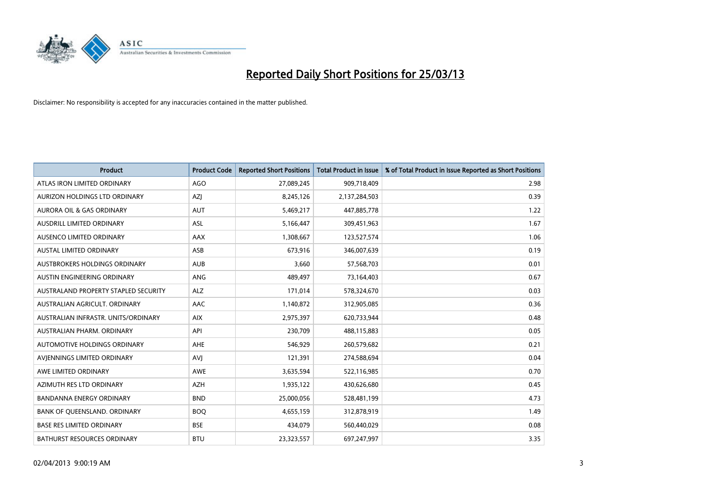

| <b>Product</b>                       | <b>Product Code</b> | <b>Reported Short Positions</b> | <b>Total Product in Issue</b> | % of Total Product in Issue Reported as Short Positions |
|--------------------------------------|---------------------|---------------------------------|-------------------------------|---------------------------------------------------------|
| ATLAS IRON LIMITED ORDINARY          | AGO                 | 27,089,245                      | 909,718,409                   | 2.98                                                    |
| AURIZON HOLDINGS LTD ORDINARY        | AZJ                 | 8,245,126                       | 2,137,284,503                 | 0.39                                                    |
| AURORA OIL & GAS ORDINARY            | <b>AUT</b>          | 5,469,217                       | 447,885,778                   | 1.22                                                    |
| AUSDRILL LIMITED ORDINARY            | <b>ASL</b>          | 5,166,447                       | 309,451,963                   | 1.67                                                    |
| AUSENCO LIMITED ORDINARY             | AAX                 | 1,308,667                       | 123,527,574                   | 1.06                                                    |
| <b>AUSTAL LIMITED ORDINARY</b>       | ASB                 | 673,916                         | 346,007,639                   | 0.19                                                    |
| AUSTBROKERS HOLDINGS ORDINARY        | <b>AUB</b>          | 3,660                           | 57,568,703                    | 0.01                                                    |
| AUSTIN ENGINEERING ORDINARY          | ANG                 | 489,497                         | 73,164,403                    | 0.67                                                    |
| AUSTRALAND PROPERTY STAPLED SECURITY | <b>ALZ</b>          | 171,014                         | 578,324,670                   | 0.03                                                    |
| AUSTRALIAN AGRICULT, ORDINARY        | AAC                 | 1,140,872                       | 312,905,085                   | 0.36                                                    |
| AUSTRALIAN INFRASTR. UNITS/ORDINARY  | <b>AIX</b>          | 2,975,397                       | 620,733,944                   | 0.48                                                    |
| AUSTRALIAN PHARM, ORDINARY           | API                 | 230,709                         | 488,115,883                   | 0.05                                                    |
| AUTOMOTIVE HOLDINGS ORDINARY         | AHE                 | 546,929                         | 260,579,682                   | 0.21                                                    |
| AVIENNINGS LIMITED ORDINARY          | <b>AVJ</b>          | 121,391                         | 274,588,694                   | 0.04                                                    |
| AWE LIMITED ORDINARY                 | <b>AWE</b>          | 3,635,594                       | 522,116,985                   | 0.70                                                    |
| AZIMUTH RES LTD ORDINARY             | <b>AZH</b>          | 1,935,122                       | 430,626,680                   | 0.45                                                    |
| <b>BANDANNA ENERGY ORDINARY</b>      | <b>BND</b>          | 25,000,056                      | 528,481,199                   | 4.73                                                    |
| BANK OF QUEENSLAND. ORDINARY         | <b>BOO</b>          | 4,655,159                       | 312,878,919                   | 1.49                                                    |
| <b>BASE RES LIMITED ORDINARY</b>     | <b>BSE</b>          | 434,079                         | 560,440,029                   | 0.08                                                    |
| <b>BATHURST RESOURCES ORDINARY</b>   | <b>BTU</b>          | 23,323,557                      | 697,247,997                   | 3.35                                                    |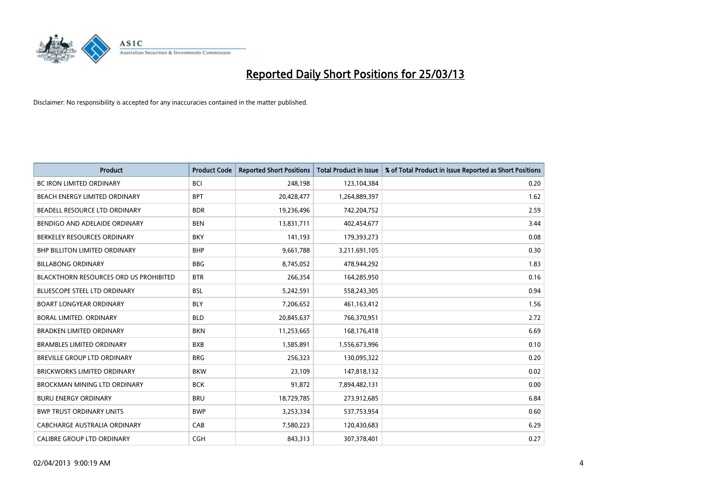

| <b>Product</b>                                | <b>Product Code</b> | <b>Reported Short Positions</b> | <b>Total Product in Issue</b> | % of Total Product in Issue Reported as Short Positions |
|-----------------------------------------------|---------------------|---------------------------------|-------------------------------|---------------------------------------------------------|
| <b>BC IRON LIMITED ORDINARY</b>               | <b>BCI</b>          | 248,198                         | 123,104,384                   | 0.20                                                    |
| BEACH ENERGY LIMITED ORDINARY                 | <b>BPT</b>          | 20,428,477                      | 1,264,889,397                 | 1.62                                                    |
| BEADELL RESOURCE LTD ORDINARY                 | <b>BDR</b>          | 19,236,496                      | 742,204,752                   | 2.59                                                    |
| BENDIGO AND ADELAIDE ORDINARY                 | <b>BEN</b>          | 13,831,711                      | 402,454,677                   | 3.44                                                    |
| BERKELEY RESOURCES ORDINARY                   | <b>BKY</b>          | 141,193                         | 179,393,273                   | 0.08                                                    |
| <b>BHP BILLITON LIMITED ORDINARY</b>          | <b>BHP</b>          | 9,661,788                       | 3,211,691,105                 | 0.30                                                    |
| <b>BILLABONG ORDINARY</b>                     | <b>BBG</b>          | 8,745,052                       | 478,944,292                   | 1.83                                                    |
| <b>BLACKTHORN RESOURCES ORD US PROHIBITED</b> | <b>BTR</b>          | 266,354                         | 164,285,950                   | 0.16                                                    |
| BLUESCOPE STEEL LTD ORDINARY                  | <b>BSL</b>          | 5,242,591                       | 558,243,305                   | 0.94                                                    |
| <b>BOART LONGYEAR ORDINARY</b>                | <b>BLY</b>          | 7,206,652                       | 461,163,412                   | 1.56                                                    |
| <b>BORAL LIMITED, ORDINARY</b>                | <b>BLD</b>          | 20,845,637                      | 766,370,951                   | 2.72                                                    |
| <b>BRADKEN LIMITED ORDINARY</b>               | <b>BKN</b>          | 11,253,665                      | 168,176,418                   | 6.69                                                    |
| <b>BRAMBLES LIMITED ORDINARY</b>              | <b>BXB</b>          | 1,585,891                       | 1,556,673,996                 | 0.10                                                    |
| <b>BREVILLE GROUP LTD ORDINARY</b>            | <b>BRG</b>          | 256,323                         | 130,095,322                   | 0.20                                                    |
| <b>BRICKWORKS LIMITED ORDINARY</b>            | <b>BKW</b>          | 23,109                          | 147,818,132                   | 0.02                                                    |
| <b>BROCKMAN MINING LTD ORDINARY</b>           | <b>BCK</b>          | 91,872                          | 7,894,482,131                 | 0.00                                                    |
| <b>BURU ENERGY ORDINARY</b>                   | <b>BRU</b>          | 18,729,785                      | 273,912,685                   | 6.84                                                    |
| <b>BWP TRUST ORDINARY UNITS</b>               | <b>BWP</b>          | 3,253,334                       | 537,753,954                   | 0.60                                                    |
| CABCHARGE AUSTRALIA ORDINARY                  | CAB                 | 7,580,223                       | 120,430,683                   | 6.29                                                    |
| <b>CALIBRE GROUP LTD ORDINARY</b>             | <b>CGH</b>          | 843,313                         | 307,378,401                   | 0.27                                                    |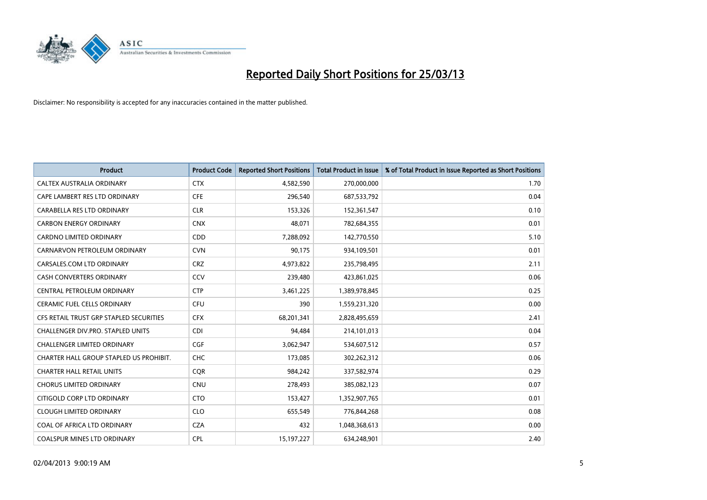

| <b>Product</b>                          | <b>Product Code</b> | <b>Reported Short Positions</b> | <b>Total Product in Issue</b> | % of Total Product in Issue Reported as Short Positions |
|-----------------------------------------|---------------------|---------------------------------|-------------------------------|---------------------------------------------------------|
| CALTEX AUSTRALIA ORDINARY               | <b>CTX</b>          | 4,582,590                       | 270,000,000                   | 1.70                                                    |
| CAPE LAMBERT RES LTD ORDINARY           | <b>CFE</b>          | 296,540                         | 687,533,792                   | 0.04                                                    |
| CARABELLA RES LTD ORDINARY              | <b>CLR</b>          | 153,326                         | 152,361,547                   | 0.10                                                    |
| <b>CARBON ENERGY ORDINARY</b>           | <b>CNX</b>          | 48,071                          | 782,684,355                   | 0.01                                                    |
| CARDNO LIMITED ORDINARY                 | CDD                 | 7,288,092                       | 142,770,550                   | 5.10                                                    |
| CARNARVON PETROLEUM ORDINARY            | <b>CVN</b>          | 90,175                          | 934,109,501                   | 0.01                                                    |
| CARSALES.COM LTD ORDINARY               | <b>CRZ</b>          | 4,973,822                       | 235,798,495                   | 2.11                                                    |
| <b>CASH CONVERTERS ORDINARY</b>         | CCV                 | 239,480                         | 423,861,025                   | 0.06                                                    |
| CENTRAL PETROLEUM ORDINARY              | <b>CTP</b>          | 3,461,225                       | 1,389,978,845                 | 0.25                                                    |
| <b>CERAMIC FUEL CELLS ORDINARY</b>      | CFU                 | 390                             | 1,559,231,320                 | 0.00                                                    |
| CFS RETAIL TRUST GRP STAPLED SECURITIES | <b>CFX</b>          | 68,201,341                      | 2,828,495,659                 | 2.41                                                    |
| CHALLENGER DIV.PRO. STAPLED UNITS       | <b>CDI</b>          | 94,484                          | 214,101,013                   | 0.04                                                    |
| <b>CHALLENGER LIMITED ORDINARY</b>      | <b>CGF</b>          | 3,062,947                       | 534,607,512                   | 0.57                                                    |
| CHARTER HALL GROUP STAPLED US PROHIBIT. | <b>CHC</b>          | 173,085                         | 302,262,312                   | 0.06                                                    |
| <b>CHARTER HALL RETAIL UNITS</b>        | <b>COR</b>          | 984,242                         | 337,582,974                   | 0.29                                                    |
| <b>CHORUS LIMITED ORDINARY</b>          | <b>CNU</b>          | 278,493                         | 385,082,123                   | 0.07                                                    |
| CITIGOLD CORP LTD ORDINARY              | <b>CTO</b>          | 153,427                         | 1,352,907,765                 | 0.01                                                    |
| <b>CLOUGH LIMITED ORDINARY</b>          | <b>CLO</b>          | 655,549                         | 776,844,268                   | 0.08                                                    |
| COAL OF AFRICA LTD ORDINARY             | <b>CZA</b>          | 432                             | 1,048,368,613                 | 0.00                                                    |
| COALSPUR MINES LTD ORDINARY             | <b>CPL</b>          | 15, 197, 227                    | 634,248,901                   | 2.40                                                    |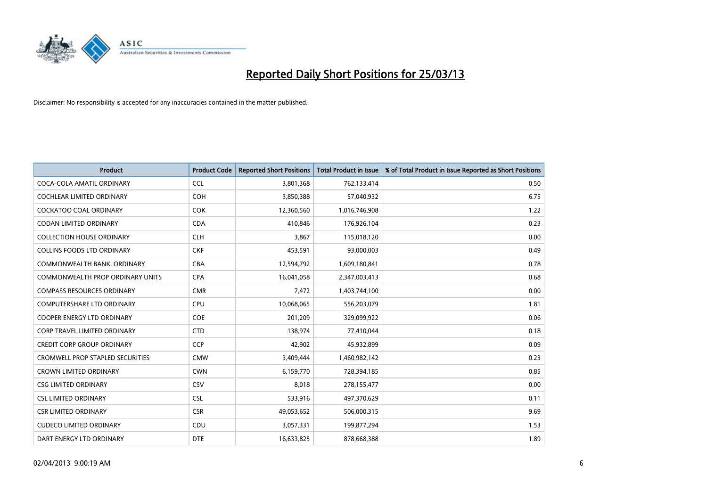

| <b>Product</b>                          | <b>Product Code</b> | <b>Reported Short Positions</b> | <b>Total Product in Issue</b> | % of Total Product in Issue Reported as Short Positions |
|-----------------------------------------|---------------------|---------------------------------|-------------------------------|---------------------------------------------------------|
| COCA-COLA AMATIL ORDINARY               | <b>CCL</b>          | 3,801,368                       | 762,133,414                   | 0.50                                                    |
| COCHLEAR LIMITED ORDINARY               | <b>COH</b>          | 3,850,388                       | 57,040,932                    | 6.75                                                    |
| COCKATOO COAL ORDINARY                  | COK                 | 12,360,560                      | 1,016,746,908                 | 1.22                                                    |
| <b>CODAN LIMITED ORDINARY</b>           | <b>CDA</b>          | 410,846                         | 176,926,104                   | 0.23                                                    |
| <b>COLLECTION HOUSE ORDINARY</b>        | <b>CLH</b>          | 3,867                           | 115,018,120                   | 0.00                                                    |
| <b>COLLINS FOODS LTD ORDINARY</b>       | <b>CKF</b>          | 453,591                         | 93,000,003                    | 0.49                                                    |
| COMMONWEALTH BANK, ORDINARY             | <b>CBA</b>          | 12,594,792                      | 1,609,180,841                 | 0.78                                                    |
| COMMONWEALTH PROP ORDINARY UNITS        | <b>CPA</b>          | 16,041,058                      | 2,347,003,413                 | 0.68                                                    |
| <b>COMPASS RESOURCES ORDINARY</b>       | <b>CMR</b>          | 7,472                           | 1,403,744,100                 | 0.00                                                    |
| <b>COMPUTERSHARE LTD ORDINARY</b>       | <b>CPU</b>          | 10,068,065                      | 556,203,079                   | 1.81                                                    |
| COOPER ENERGY LTD ORDINARY              | <b>COE</b>          | 201,209                         | 329,099,922                   | 0.06                                                    |
| <b>CORP TRAVEL LIMITED ORDINARY</b>     | <b>CTD</b>          | 138,974                         | 77,410,044                    | 0.18                                                    |
| <b>CREDIT CORP GROUP ORDINARY</b>       | CCP                 | 42,902                          | 45,932,899                    | 0.09                                                    |
| <b>CROMWELL PROP STAPLED SECURITIES</b> | <b>CMW</b>          | 3,409,444                       | 1,460,982,142                 | 0.23                                                    |
| <b>CROWN LIMITED ORDINARY</b>           | <b>CWN</b>          | 6,159,770                       | 728,394,185                   | 0.85                                                    |
| <b>CSG LIMITED ORDINARY</b>             | CSV                 | 8,018                           | 278,155,477                   | 0.00                                                    |
| <b>CSL LIMITED ORDINARY</b>             | <b>CSL</b>          | 533,916                         | 497,370,629                   | 0.11                                                    |
| <b>CSR LIMITED ORDINARY</b>             | <b>CSR</b>          | 49,053,652                      | 506,000,315                   | 9.69                                                    |
| <b>CUDECO LIMITED ORDINARY</b>          | <b>CDU</b>          | 3,057,331                       | 199,877,294                   | 1.53                                                    |
| DART ENERGY LTD ORDINARY                | <b>DTE</b>          | 16,633,825                      | 878,668,388                   | 1.89                                                    |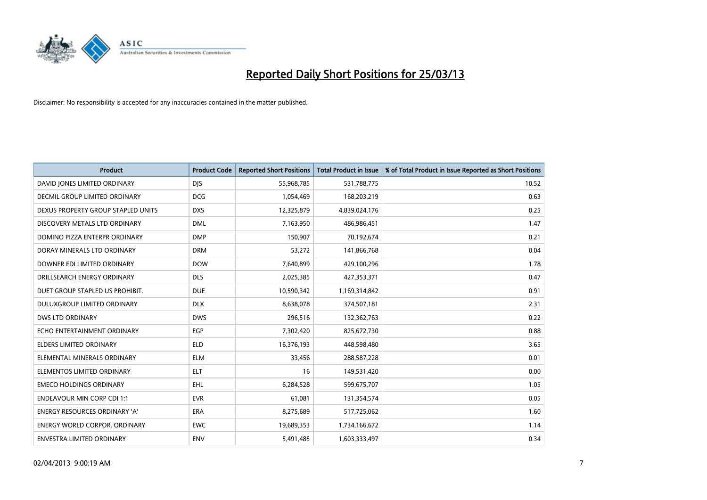

| <b>Product</b>                       | <b>Product Code</b> | <b>Reported Short Positions</b> | <b>Total Product in Issue</b> | % of Total Product in Issue Reported as Short Positions |
|--------------------------------------|---------------------|---------------------------------|-------------------------------|---------------------------------------------------------|
| DAVID JONES LIMITED ORDINARY         | <b>DJS</b>          | 55,968,785                      | 531,788,775                   | 10.52                                                   |
| DECMIL GROUP LIMITED ORDINARY        | <b>DCG</b>          | 1,054,469                       | 168,203,219                   | 0.63                                                    |
| DEXUS PROPERTY GROUP STAPLED UNITS   | <b>DXS</b>          | 12,325,879                      | 4,839,024,176                 | 0.25                                                    |
| DISCOVERY METALS LTD ORDINARY        | <b>DML</b>          | 7,163,950                       | 486,986,451                   | 1.47                                                    |
| DOMINO PIZZA ENTERPR ORDINARY        | <b>DMP</b>          | 150,907                         | 70,192,674                    | 0.21                                                    |
| DORAY MINERALS LTD ORDINARY          | <b>DRM</b>          | 53,272                          | 141,866,768                   | 0.04                                                    |
| DOWNER EDI LIMITED ORDINARY          | <b>DOW</b>          | 7,640,899                       | 429,100,296                   | 1.78                                                    |
| DRILLSEARCH ENERGY ORDINARY          | <b>DLS</b>          | 2,025,385                       | 427,353,371                   | 0.47                                                    |
| DUET GROUP STAPLED US PROHIBIT.      | <b>DUE</b>          | 10,590,342                      | 1,169,314,842                 | 0.91                                                    |
| DULUXGROUP LIMITED ORDINARY          | <b>DLX</b>          | 8,638,078                       | 374,507,181                   | 2.31                                                    |
| <b>DWS LTD ORDINARY</b>              | <b>DWS</b>          | 296,516                         | 132,362,763                   | 0.22                                                    |
| ECHO ENTERTAINMENT ORDINARY          | <b>EGP</b>          | 7,302,420                       | 825,672,730                   | 0.88                                                    |
| <b>ELDERS LIMITED ORDINARY</b>       | <b>ELD</b>          | 16,376,193                      | 448,598,480                   | 3.65                                                    |
| ELEMENTAL MINERALS ORDINARY          | <b>ELM</b>          | 33,456                          | 288,587,228                   | 0.01                                                    |
| ELEMENTOS LIMITED ORDINARY           | <b>ELT</b>          | 16                              | 149,531,420                   | 0.00                                                    |
| <b>EMECO HOLDINGS ORDINARY</b>       | <b>EHL</b>          | 6,284,528                       | 599,675,707                   | 1.05                                                    |
| <b>ENDEAVOUR MIN CORP CDI 1:1</b>    | <b>EVR</b>          | 61,081                          | 131,354,574                   | 0.05                                                    |
| ENERGY RESOURCES ORDINARY 'A'        | <b>ERA</b>          | 8,275,689                       | 517,725,062                   | 1.60                                                    |
| <b>ENERGY WORLD CORPOR, ORDINARY</b> | <b>EWC</b>          | 19,689,353                      | 1,734,166,672                 | 1.14                                                    |
| ENVESTRA LIMITED ORDINARY            | ENV                 | 5,491,485                       | 1,603,333,497                 | 0.34                                                    |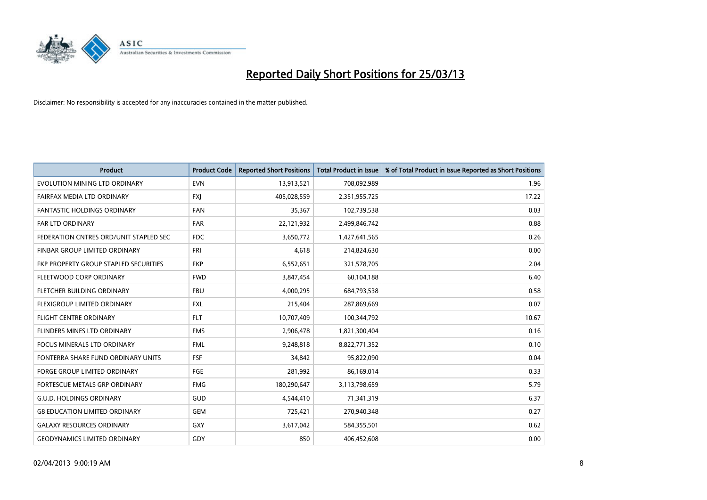

| <b>Product</b>                         | <b>Product Code</b> | <b>Reported Short Positions</b> | <b>Total Product in Issue</b> | % of Total Product in Issue Reported as Short Positions |
|----------------------------------------|---------------------|---------------------------------|-------------------------------|---------------------------------------------------------|
| EVOLUTION MINING LTD ORDINARY          | <b>EVN</b>          | 13,913,521                      | 708,092,989                   | 1.96                                                    |
| FAIRFAX MEDIA LTD ORDINARY             | <b>FXI</b>          | 405,028,559                     | 2,351,955,725                 | 17.22                                                   |
| <b>FANTASTIC HOLDINGS ORDINARY</b>     | <b>FAN</b>          | 35,367                          | 102,739,538                   | 0.03                                                    |
| <b>FAR LTD ORDINARY</b>                | <b>FAR</b>          | 22,121,932                      | 2,499,846,742                 | 0.88                                                    |
| FEDERATION CNTRES ORD/UNIT STAPLED SEC | <b>FDC</b>          | 3,650,772                       | 1,427,641,565                 | 0.26                                                    |
| FINBAR GROUP LIMITED ORDINARY          | <b>FRI</b>          | 4,618                           | 214,824,630                   | 0.00                                                    |
| FKP PROPERTY GROUP STAPLED SECURITIES  | <b>FKP</b>          | 6,552,651                       | 321,578,705                   | 2.04                                                    |
| FLEETWOOD CORP ORDINARY                | <b>FWD</b>          | 3,847,454                       | 60,104,188                    | 6.40                                                    |
| FLETCHER BUILDING ORDINARY             | <b>FBU</b>          | 4,000,295                       | 684,793,538                   | 0.58                                                    |
| FLEXIGROUP LIMITED ORDINARY            | <b>FXL</b>          | 215,404                         | 287,869,669                   | 0.07                                                    |
| FLIGHT CENTRE ORDINARY                 | <b>FLT</b>          | 10,707,409                      | 100,344,792                   | 10.67                                                   |
| FLINDERS MINES LTD ORDINARY            | <b>FMS</b>          | 2,906,478                       | 1,821,300,404                 | 0.16                                                    |
| <b>FOCUS MINERALS LTD ORDINARY</b>     | <b>FML</b>          | 9,248,818                       | 8,822,771,352                 | 0.10                                                    |
| FONTERRA SHARE FUND ORDINARY UNITS     | <b>FSF</b>          | 34,842                          | 95,822,090                    | 0.04                                                    |
| <b>FORGE GROUP LIMITED ORDINARY</b>    | FGE                 | 281,992                         | 86,169,014                    | 0.33                                                    |
| FORTESCUE METALS GRP ORDINARY          | <b>FMG</b>          | 180,290,647                     | 3,113,798,659                 | 5.79                                                    |
| <b>G.U.D. HOLDINGS ORDINARY</b>        | GUD                 | 4,544,410                       | 71,341,319                    | 6.37                                                    |
| <b>G8 EDUCATION LIMITED ORDINARY</b>   | <b>GEM</b>          | 725,421                         | 270,940,348                   | 0.27                                                    |
| <b>GALAXY RESOURCES ORDINARY</b>       | GXY                 | 3,617,042                       | 584,355,501                   | 0.62                                                    |
| <b>GEODYNAMICS LIMITED ORDINARY</b>    | GDY                 | 850                             | 406,452,608                   | 0.00                                                    |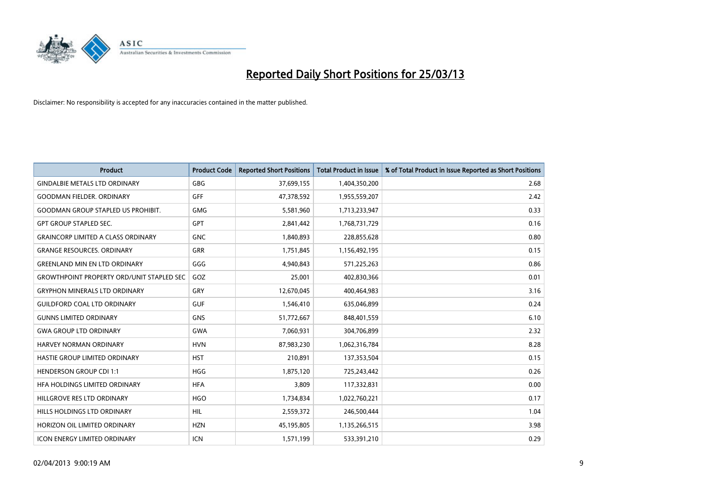

| <b>Product</b>                                   | <b>Product Code</b> | <b>Reported Short Positions</b> | <b>Total Product in Issue</b> | % of Total Product in Issue Reported as Short Positions |
|--------------------------------------------------|---------------------|---------------------------------|-------------------------------|---------------------------------------------------------|
| <b>GINDALBIE METALS LTD ORDINARY</b>             | GBG                 | 37,699,155                      | 1,404,350,200                 | 2.68                                                    |
| <b>GOODMAN FIELDER, ORDINARY</b>                 | GFF                 | 47,378,592                      | 1,955,559,207                 | 2.42                                                    |
| <b>GOODMAN GROUP STAPLED US PROHIBIT.</b>        | <b>GMG</b>          | 5,581,960                       | 1,713,233,947                 | 0.33                                                    |
| <b>GPT GROUP STAPLED SEC.</b>                    | GPT                 | 2,841,442                       | 1,768,731,729                 | 0.16                                                    |
| <b>GRAINCORP LIMITED A CLASS ORDINARY</b>        | <b>GNC</b>          | 1,840,893                       | 228,855,628                   | 0.80                                                    |
| <b>GRANGE RESOURCES, ORDINARY</b>                | <b>GRR</b>          | 1,751,845                       | 1,156,492,195                 | 0.15                                                    |
| <b>GREENLAND MIN EN LTD ORDINARY</b>             | GGG                 | 4,940,843                       | 571,225,263                   | 0.86                                                    |
| <b>GROWTHPOINT PROPERTY ORD/UNIT STAPLED SEC</b> | GOZ                 | 25,001                          | 402,830,366                   | 0.01                                                    |
| <b>GRYPHON MINERALS LTD ORDINARY</b>             | GRY                 | 12,670,045                      | 400,464,983                   | 3.16                                                    |
| <b>GUILDFORD COAL LTD ORDINARY</b>               | <b>GUF</b>          | 1,546,410                       | 635,046,899                   | 0.24                                                    |
| <b>GUNNS LIMITED ORDINARY</b>                    | <b>GNS</b>          | 51,772,667                      | 848,401,559                   | 6.10                                                    |
| <b>GWA GROUP LTD ORDINARY</b>                    | GWA                 | 7,060,931                       | 304,706,899                   | 2.32                                                    |
| HARVEY NORMAN ORDINARY                           | <b>HVN</b>          | 87,983,230                      | 1,062,316,784                 | 8.28                                                    |
| HASTIE GROUP LIMITED ORDINARY                    | <b>HST</b>          | 210,891                         | 137,353,504                   | 0.15                                                    |
| <b>HENDERSON GROUP CDI 1:1</b>                   | <b>HGG</b>          | 1,875,120                       | 725,243,442                   | 0.26                                                    |
| HFA HOLDINGS LIMITED ORDINARY                    | <b>HFA</b>          | 3,809                           | 117,332,831                   | 0.00                                                    |
| HILLGROVE RES LTD ORDINARY                       | <b>HGO</b>          | 1,734,834                       | 1,022,760,221                 | 0.17                                                    |
| HILLS HOLDINGS LTD ORDINARY                      | <b>HIL</b>          | 2,559,372                       | 246,500,444                   | 1.04                                                    |
| HORIZON OIL LIMITED ORDINARY                     | <b>HZN</b>          | 45,195,805                      | 1,135,266,515                 | 3.98                                                    |
| <b>ICON ENERGY LIMITED ORDINARY</b>              | <b>ICN</b>          | 1,571,199                       | 533,391,210                   | 0.29                                                    |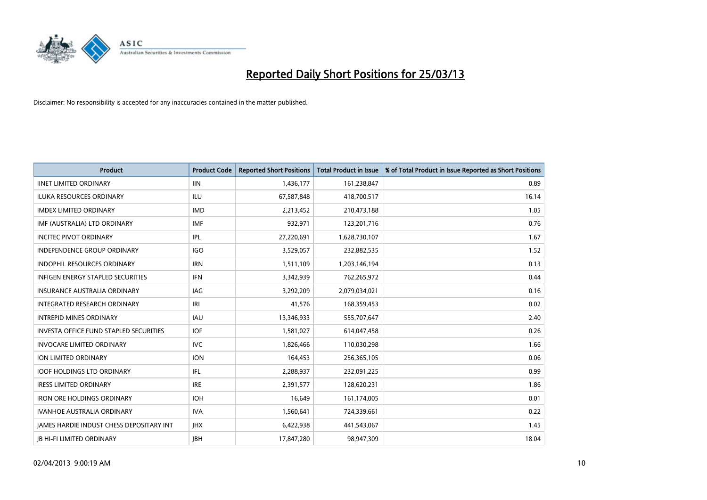

| <b>Product</b>                                | <b>Product Code</b> | <b>Reported Short Positions</b> | <b>Total Product in Issue</b> | % of Total Product in Issue Reported as Short Positions |
|-----------------------------------------------|---------------------|---------------------------------|-------------------------------|---------------------------------------------------------|
| <b>IINET LIMITED ORDINARY</b>                 | <b>IIN</b>          | 1,436,177                       | 161,238,847                   | 0.89                                                    |
| <b>ILUKA RESOURCES ORDINARY</b>               | ILU                 | 67,587,848                      | 418,700,517                   | 16.14                                                   |
| <b>IMDEX LIMITED ORDINARY</b>                 | <b>IMD</b>          | 2,213,452                       | 210,473,188                   | 1.05                                                    |
| IMF (AUSTRALIA) LTD ORDINARY                  | <b>IMF</b>          | 932,971                         | 123,201,716                   | 0.76                                                    |
| <b>INCITEC PIVOT ORDINARY</b>                 | IPL                 | 27,220,691                      | 1,628,730,107                 | 1.67                                                    |
| <b>INDEPENDENCE GROUP ORDINARY</b>            | <b>IGO</b>          | 3,529,057                       | 232,882,535                   | 1.52                                                    |
| INDOPHIL RESOURCES ORDINARY                   | <b>IRN</b>          | 1,511,109                       | 1,203,146,194                 | 0.13                                                    |
| <b>INFIGEN ENERGY STAPLED SECURITIES</b>      | <b>IFN</b>          | 3,342,939                       | 762,265,972                   | 0.44                                                    |
| <b>INSURANCE AUSTRALIA ORDINARY</b>           | IAG                 | 3,292,209                       | 2,079,034,021                 | 0.16                                                    |
| INTEGRATED RESEARCH ORDINARY                  | IRI                 | 41,576                          | 168,359,453                   | 0.02                                                    |
| <b>INTREPID MINES ORDINARY</b>                | <b>IAU</b>          | 13,346,933                      | 555,707,647                   | 2.40                                                    |
| <b>INVESTA OFFICE FUND STAPLED SECURITIES</b> | <b>IOF</b>          | 1,581,027                       | 614,047,458                   | 0.26                                                    |
| <b>INVOCARE LIMITED ORDINARY</b>              | IVC                 | 1,826,466                       | 110,030,298                   | 1.66                                                    |
| <b>ION LIMITED ORDINARY</b>                   | <b>ION</b>          | 164,453                         | 256,365,105                   | 0.06                                                    |
| <b>IOOF HOLDINGS LTD ORDINARY</b>             | IFL                 | 2,288,937                       | 232,091,225                   | 0.99                                                    |
| <b>IRESS LIMITED ORDINARY</b>                 | <b>IRE</b>          | 2,391,577                       | 128,620,231                   | 1.86                                                    |
| <b>IRON ORE HOLDINGS ORDINARY</b>             | <b>IOH</b>          | 16,649                          | 161,174,005                   | 0.01                                                    |
| <b>IVANHOE AUSTRALIA ORDINARY</b>             | <b>IVA</b>          | 1,560,641                       | 724,339,661                   | 0.22                                                    |
| JAMES HARDIE INDUST CHESS DEPOSITARY INT      | <b>IHX</b>          | 6,422,938                       | 441,543,067                   | 1.45                                                    |
| <b>IB HI-FI LIMITED ORDINARY</b>              | <b>JBH</b>          | 17,847,280                      | 98,947,309                    | 18.04                                                   |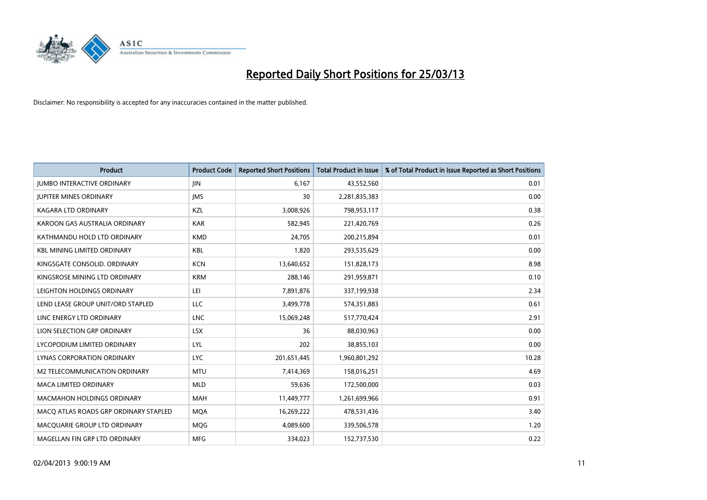

| <b>Product</b>                        | <b>Product Code</b> | <b>Reported Short Positions</b> | <b>Total Product in Issue</b> | % of Total Product in Issue Reported as Short Positions |
|---------------------------------------|---------------------|---------------------------------|-------------------------------|---------------------------------------------------------|
| <b>JUMBO INTERACTIVE ORDINARY</b>     | JIN.                | 6,167                           | 43,552,560                    | 0.01                                                    |
| <b>JUPITER MINES ORDINARY</b>         | <b>IMS</b>          | 30                              | 2,281,835,383                 | 0.00                                                    |
| <b>KAGARA LTD ORDINARY</b>            | KZL                 | 3,008,926                       | 798,953,117                   | 0.38                                                    |
| KAROON GAS AUSTRALIA ORDINARY         | <b>KAR</b>          | 582,945                         | 221,420,769                   | 0.26                                                    |
| KATHMANDU HOLD LTD ORDINARY           | <b>KMD</b>          | 24,705                          | 200,215,894                   | 0.01                                                    |
| <b>KBL MINING LIMITED ORDINARY</b>    | <b>KBL</b>          | 1,820                           | 293,535,629                   | 0.00                                                    |
| KINGSGATE CONSOLID. ORDINARY          | <b>KCN</b>          | 13,640,652                      | 151,828,173                   | 8.98                                                    |
| KINGSROSE MINING LTD ORDINARY         | <b>KRM</b>          | 288,146                         | 291,959,871                   | 0.10                                                    |
| LEIGHTON HOLDINGS ORDINARY            | LEI                 | 7,891,876                       | 337,199,938                   | 2.34                                                    |
| LEND LEASE GROUP UNIT/ORD STAPLED     | <b>LLC</b>          | 3,499,778                       | 574,351,883                   | 0.61                                                    |
| LINC ENERGY LTD ORDINARY              | <b>LNC</b>          | 15,069,248                      | 517,770,424                   | 2.91                                                    |
| LION SELECTION GRP ORDINARY           | <b>LSX</b>          | 36                              | 88,030,963                    | 0.00                                                    |
| LYCOPODIUM LIMITED ORDINARY           | LYL                 | 202                             | 38,855,103                    | 0.00                                                    |
| LYNAS CORPORATION ORDINARY            | <b>LYC</b>          | 201,651,445                     | 1,960,801,292                 | 10.28                                                   |
| <b>M2 TELECOMMUNICATION ORDINARY</b>  | <b>MTU</b>          | 7,414,369                       | 158,016,251                   | 4.69                                                    |
| MACA LIMITED ORDINARY                 | <b>MLD</b>          | 59,636                          | 172,500,000                   | 0.03                                                    |
| MACMAHON HOLDINGS ORDINARY            | MAH                 | 11,449,777                      | 1,261,699,966                 | 0.91                                                    |
| MACO ATLAS ROADS GRP ORDINARY STAPLED | <b>MOA</b>          | 16,269,222                      | 478,531,436                   | 3.40                                                    |
| MACQUARIE GROUP LTD ORDINARY          | <b>MQG</b>          | 4,089,600                       | 339,506,578                   | 1.20                                                    |
| MAGELLAN FIN GRP LTD ORDINARY         | <b>MFG</b>          | 334,023                         | 152,737,530                   | 0.22                                                    |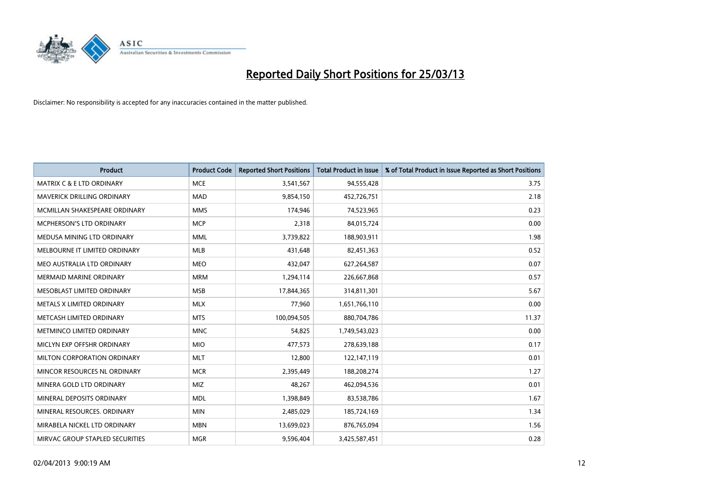

| <b>Product</b>                       | <b>Product Code</b> | <b>Reported Short Positions</b> | <b>Total Product in Issue</b> | % of Total Product in Issue Reported as Short Positions |
|--------------------------------------|---------------------|---------------------------------|-------------------------------|---------------------------------------------------------|
| <b>MATRIX C &amp; E LTD ORDINARY</b> | <b>MCE</b>          | 3,541,567                       | 94,555,428                    | 3.75                                                    |
| MAVERICK DRILLING ORDINARY           | <b>MAD</b>          | 9,854,150                       | 452,726,751                   | 2.18                                                    |
| MCMILLAN SHAKESPEARE ORDINARY        | <b>MMS</b>          | 174,946                         | 74,523,965                    | 0.23                                                    |
| MCPHERSON'S LTD ORDINARY             | <b>MCP</b>          | 2,318                           | 84,015,724                    | 0.00                                                    |
| MEDUSA MINING LTD ORDINARY           | <b>MML</b>          | 3,739,822                       | 188,903,911                   | 1.98                                                    |
| MELBOURNE IT LIMITED ORDINARY        | <b>MLB</b>          | 431,648                         | 82,451,363                    | 0.52                                                    |
| MEO AUSTRALIA LTD ORDINARY           | <b>MEO</b>          | 432,047                         | 627,264,587                   | 0.07                                                    |
| <b>MERMAID MARINE ORDINARY</b>       | <b>MRM</b>          | 1,294,114                       | 226,667,868                   | 0.57                                                    |
| MESOBLAST LIMITED ORDINARY           | <b>MSB</b>          | 17,844,365                      | 314,811,301                   | 5.67                                                    |
| METALS X LIMITED ORDINARY            | <b>MLX</b>          | 77,960                          | 1,651,766,110                 | 0.00                                                    |
| METCASH LIMITED ORDINARY             | <b>MTS</b>          | 100,094,505                     | 880,704,786                   | 11.37                                                   |
| METMINCO LIMITED ORDINARY            | <b>MNC</b>          | 54,825                          | 1,749,543,023                 | 0.00                                                    |
| MICLYN EXP OFFSHR ORDINARY           | <b>MIO</b>          | 477,573                         | 278,639,188                   | 0.17                                                    |
| MILTON CORPORATION ORDINARY          | <b>MLT</b>          | 12,800                          | 122,147,119                   | 0.01                                                    |
| MINCOR RESOURCES NL ORDINARY         | <b>MCR</b>          | 2,395,449                       | 188,208,274                   | 1.27                                                    |
| MINERA GOLD LTD ORDINARY             | MIZ                 | 48,267                          | 462,094,536                   | 0.01                                                    |
| MINERAL DEPOSITS ORDINARY            | <b>MDL</b>          | 1,398,849                       | 83,538,786                    | 1.67                                                    |
| MINERAL RESOURCES. ORDINARY          | <b>MIN</b>          | 2,485,029                       | 185,724,169                   | 1.34                                                    |
| MIRABELA NICKEL LTD ORDINARY         | <b>MBN</b>          | 13,699,023                      | 876,765,094                   | 1.56                                                    |
| MIRVAC GROUP STAPLED SECURITIES      | <b>MGR</b>          | 9,596,404                       | 3,425,587,451                 | 0.28                                                    |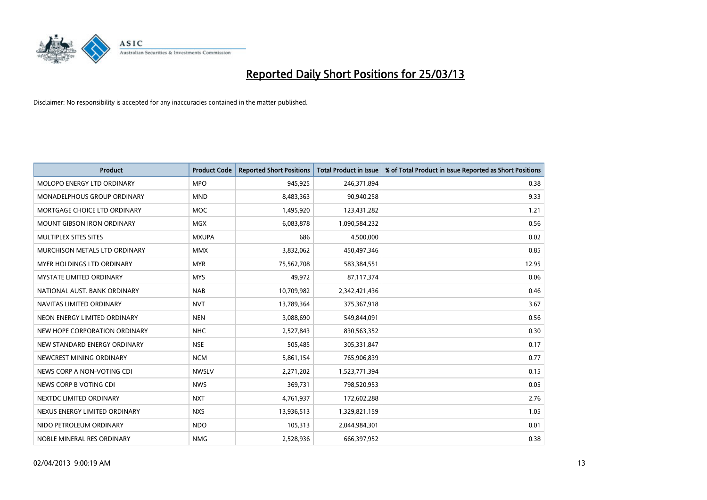

| <b>Product</b>                    | <b>Product Code</b> | <b>Reported Short Positions</b> | <b>Total Product in Issue</b> | % of Total Product in Issue Reported as Short Positions |
|-----------------------------------|---------------------|---------------------------------|-------------------------------|---------------------------------------------------------|
| MOLOPO ENERGY LTD ORDINARY        | <b>MPO</b>          | 945,925                         | 246,371,894                   | 0.38                                                    |
| MONADELPHOUS GROUP ORDINARY       | <b>MND</b>          | 8,483,363                       | 90,940,258                    | 9.33                                                    |
| MORTGAGE CHOICE LTD ORDINARY      | MOC                 | 1,495,920                       | 123,431,282                   | 1.21                                                    |
| <b>MOUNT GIBSON IRON ORDINARY</b> | <b>MGX</b>          | 6,083,878                       | 1,090,584,232                 | 0.56                                                    |
| MULTIPLEX SITES SITES             | <b>MXUPA</b>        | 686                             | 4,500,000                     | 0.02                                                    |
| MURCHISON METALS LTD ORDINARY     | <b>MMX</b>          | 3,832,062                       | 450,497,346                   | 0.85                                                    |
| MYER HOLDINGS LTD ORDINARY        | <b>MYR</b>          | 75,562,708                      | 583,384,551                   | 12.95                                                   |
| MYSTATE LIMITED ORDINARY          | <b>MYS</b>          | 49,972                          | 87,117,374                    | 0.06                                                    |
| NATIONAL AUST, BANK ORDINARY      | <b>NAB</b>          | 10,709,982                      | 2,342,421,436                 | 0.46                                                    |
| NAVITAS LIMITED ORDINARY          | <b>NVT</b>          | 13,789,364                      | 375,367,918                   | 3.67                                                    |
| NEON ENERGY LIMITED ORDINARY      | <b>NEN</b>          | 3,088,690                       | 549,844,091                   | 0.56                                                    |
| NEW HOPE CORPORATION ORDINARY     | <b>NHC</b>          | 2,527,843                       | 830,563,352                   | 0.30                                                    |
| NEW STANDARD ENERGY ORDINARY      | <b>NSE</b>          | 505,485                         | 305,331,847                   | 0.17                                                    |
| NEWCREST MINING ORDINARY          | <b>NCM</b>          | 5,861,154                       | 765,906,839                   | 0.77                                                    |
| NEWS CORP A NON-VOTING CDI        | <b>NWSLV</b>        | 2,271,202                       | 1,523,771,394                 | 0.15                                                    |
| NEWS CORP B VOTING CDI            | <b>NWS</b>          | 369,731                         | 798,520,953                   | 0.05                                                    |
| NEXTDC LIMITED ORDINARY           | <b>NXT</b>          | 4,761,937                       | 172,602,288                   | 2.76                                                    |
| NEXUS ENERGY LIMITED ORDINARY     | <b>NXS</b>          | 13,936,513                      | 1,329,821,159                 | 1.05                                                    |
| NIDO PETROLEUM ORDINARY           | <b>NDO</b>          | 105,313                         | 2,044,984,301                 | 0.01                                                    |
| NOBLE MINERAL RES ORDINARY        | <b>NMG</b>          | 2,528,936                       | 666,397,952                   | 0.38                                                    |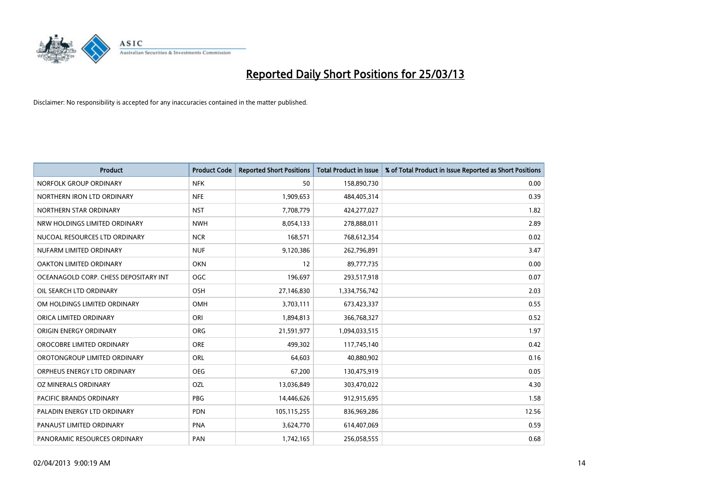

| <b>Product</b>                        | <b>Product Code</b> | <b>Reported Short Positions</b> | <b>Total Product in Issue</b> | % of Total Product in Issue Reported as Short Positions |
|---------------------------------------|---------------------|---------------------------------|-------------------------------|---------------------------------------------------------|
| NORFOLK GROUP ORDINARY                | <b>NFK</b>          | 50                              | 158,890,730                   | 0.00                                                    |
| NORTHERN IRON LTD ORDINARY            | <b>NFE</b>          | 1,909,653                       | 484,405,314                   | 0.39                                                    |
| NORTHERN STAR ORDINARY                | <b>NST</b>          | 7,708,779                       | 424,277,027                   | 1.82                                                    |
| NRW HOLDINGS LIMITED ORDINARY         | <b>NWH</b>          | 8,054,133                       | 278,888,011                   | 2.89                                                    |
| NUCOAL RESOURCES LTD ORDINARY         | <b>NCR</b>          | 168,571                         | 768,612,354                   | 0.02                                                    |
| NUFARM LIMITED ORDINARY               | <b>NUF</b>          | 9,120,386                       | 262,796,891                   | 3.47                                                    |
| OAKTON LIMITED ORDINARY               | <b>OKN</b>          | 12                              | 89,777,735                    | 0.00                                                    |
| OCEANAGOLD CORP. CHESS DEPOSITARY INT | <b>OGC</b>          | 196,697                         | 293,517,918                   | 0.07                                                    |
| OIL SEARCH LTD ORDINARY               | OSH                 | 27,146,830                      | 1,334,756,742                 | 2.03                                                    |
| OM HOLDINGS LIMITED ORDINARY          | OMH                 | 3,703,111                       | 673,423,337                   | 0.55                                                    |
| ORICA LIMITED ORDINARY                | ORI                 | 1,894,813                       | 366,768,327                   | 0.52                                                    |
| ORIGIN ENERGY ORDINARY                | <b>ORG</b>          | 21,591,977                      | 1,094,033,515                 | 1.97                                                    |
| OROCOBRE LIMITED ORDINARY             | <b>ORE</b>          | 499,302                         | 117,745,140                   | 0.42                                                    |
| OROTONGROUP LIMITED ORDINARY          | ORL                 | 64,603                          | 40,880,902                    | 0.16                                                    |
| ORPHEUS ENERGY LTD ORDINARY           | <b>OEG</b>          | 67,200                          | 130,475,919                   | 0.05                                                    |
| OZ MINERALS ORDINARY                  | <b>OZL</b>          | 13,036,849                      | 303,470,022                   | 4.30                                                    |
| PACIFIC BRANDS ORDINARY               | <b>PBG</b>          | 14,446,626                      | 912,915,695                   | 1.58                                                    |
| PALADIN ENERGY LTD ORDINARY           | <b>PDN</b>          | 105,115,255                     | 836,969,286                   | 12.56                                                   |
| PANAUST LIMITED ORDINARY              | <b>PNA</b>          | 3,624,770                       | 614,407,069                   | 0.59                                                    |
| PANORAMIC RESOURCES ORDINARY          | PAN                 | 1,742,165                       | 256,058,555                   | 0.68                                                    |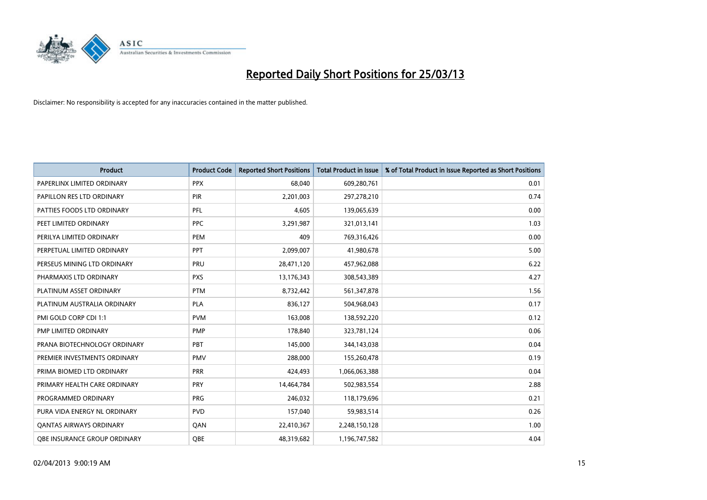

| <b>Product</b>                 | <b>Product Code</b> | <b>Reported Short Positions</b> | <b>Total Product in Issue</b> | % of Total Product in Issue Reported as Short Positions |
|--------------------------------|---------------------|---------------------------------|-------------------------------|---------------------------------------------------------|
| PAPERLINX LIMITED ORDINARY     | <b>PPX</b>          | 68,040                          | 609,280,761                   | 0.01                                                    |
| PAPILLON RES LTD ORDINARY      | <b>PIR</b>          | 2,201,003                       | 297,278,210                   | 0.74                                                    |
| PATTIES FOODS LTD ORDINARY     | PFL                 | 4,605                           | 139,065,639                   | 0.00                                                    |
| PEET LIMITED ORDINARY          | <b>PPC</b>          | 3,291,987                       | 321,013,141                   | 1.03                                                    |
| PERILYA LIMITED ORDINARY       | PEM                 | 409                             | 769,316,426                   | 0.00                                                    |
| PERPETUAL LIMITED ORDINARY     | PPT                 | 2,099,007                       | 41,980,678                    | 5.00                                                    |
| PERSEUS MINING LTD ORDINARY    | <b>PRU</b>          | 28,471,120                      | 457,962,088                   | 6.22                                                    |
| PHARMAXIS LTD ORDINARY         | <b>PXS</b>          | 13,176,343                      | 308,543,389                   | 4.27                                                    |
| PLATINUM ASSET ORDINARY        | <b>PTM</b>          | 8,732,442                       | 561,347,878                   | 1.56                                                    |
| PLATINUM AUSTRALIA ORDINARY    | <b>PLA</b>          | 836,127                         | 504,968,043                   | 0.17                                                    |
| PMI GOLD CORP CDI 1:1          | <b>PVM</b>          | 163,008                         | 138,592,220                   | 0.12                                                    |
| PMP LIMITED ORDINARY           | <b>PMP</b>          | 178,840                         | 323,781,124                   | 0.06                                                    |
| PRANA BIOTECHNOLOGY ORDINARY   | <b>PBT</b>          | 145,000                         | 344,143,038                   | 0.04                                                    |
| PREMIER INVESTMENTS ORDINARY   | <b>PMV</b>          | 288,000                         | 155,260,478                   | 0.19                                                    |
| PRIMA BIOMED LTD ORDINARY      | <b>PRR</b>          | 424,493                         | 1,066,063,388                 | 0.04                                                    |
| PRIMARY HEALTH CARE ORDINARY   | <b>PRY</b>          | 14,464,784                      | 502,983,554                   | 2.88                                                    |
| PROGRAMMED ORDINARY            | <b>PRG</b>          | 246,032                         | 118,179,696                   | 0.21                                                    |
| PURA VIDA ENERGY NL ORDINARY   | <b>PVD</b>          | 157,040                         | 59,983,514                    | 0.26                                                    |
| <b>QANTAS AIRWAYS ORDINARY</b> | QAN                 | 22,410,367                      | 2,248,150,128                 | 1.00                                                    |
| OBE INSURANCE GROUP ORDINARY   | OBE                 | 48,319,682                      | 1,196,747,582                 | 4.04                                                    |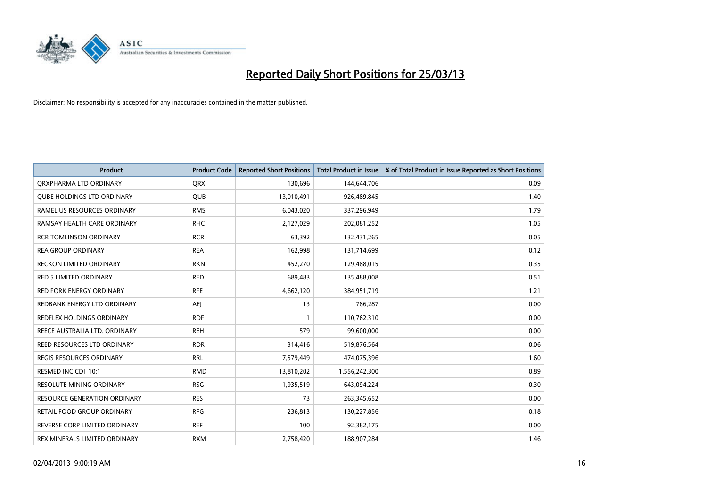

| <b>Product</b>                      | <b>Product Code</b> | <b>Reported Short Positions</b> | <b>Total Product in Issue</b> | % of Total Product in Issue Reported as Short Positions |
|-------------------------------------|---------------------|---------------------------------|-------------------------------|---------------------------------------------------------|
| ORXPHARMA LTD ORDINARY              | <b>QRX</b>          | 130,696                         | 144,644,706                   | 0.09                                                    |
| <b>QUBE HOLDINGS LTD ORDINARY</b>   | QUB                 | 13,010,491                      | 926,489,845                   | 1.40                                                    |
| RAMELIUS RESOURCES ORDINARY         | <b>RMS</b>          | 6,043,020                       | 337,296,949                   | 1.79                                                    |
| RAMSAY HEALTH CARE ORDINARY         | <b>RHC</b>          | 2,127,029                       | 202,081,252                   | 1.05                                                    |
| <b>RCR TOMLINSON ORDINARY</b>       | <b>RCR</b>          | 63,392                          | 132,431,265                   | 0.05                                                    |
| <b>REA GROUP ORDINARY</b>           | <b>REA</b>          | 162,998                         | 131,714,699                   | 0.12                                                    |
| <b>RECKON LIMITED ORDINARY</b>      | <b>RKN</b>          | 452,270                         | 129,488,015                   | 0.35                                                    |
| RED 5 LIMITED ORDINARY              | <b>RED</b>          | 689,483                         | 135,488,008                   | 0.51                                                    |
| <b>RED FORK ENERGY ORDINARY</b>     | <b>RFE</b>          | 4,662,120                       | 384,951,719                   | 1.21                                                    |
| REDBANK ENERGY LTD ORDINARY         | AEJ                 | 13                              | 786,287                       | 0.00                                                    |
| REDFLEX HOLDINGS ORDINARY           | <b>RDF</b>          | 1                               | 110,762,310                   | 0.00                                                    |
| REECE AUSTRALIA LTD. ORDINARY       | <b>REH</b>          | 579                             | 99,600,000                    | 0.00                                                    |
| REED RESOURCES LTD ORDINARY         | <b>RDR</b>          | 314,416                         | 519,876,564                   | 0.06                                                    |
| <b>REGIS RESOURCES ORDINARY</b>     | <b>RRL</b>          | 7,579,449                       | 474,075,396                   | 1.60                                                    |
| RESMED INC CDI 10:1                 | <b>RMD</b>          | 13,810,202                      | 1,556,242,300                 | 0.89                                                    |
| <b>RESOLUTE MINING ORDINARY</b>     | <b>RSG</b>          | 1,935,519                       | 643,094,224                   | 0.30                                                    |
| <b>RESOURCE GENERATION ORDINARY</b> | <b>RES</b>          | 73                              | 263,345,652                   | 0.00                                                    |
| <b>RETAIL FOOD GROUP ORDINARY</b>   | <b>RFG</b>          | 236,813                         | 130,227,856                   | 0.18                                                    |
| REVERSE CORP LIMITED ORDINARY       | <b>REF</b>          | 100                             | 92,382,175                    | 0.00                                                    |
| REX MINERALS LIMITED ORDINARY       | <b>RXM</b>          | 2,758,420                       | 188,907,284                   | 1.46                                                    |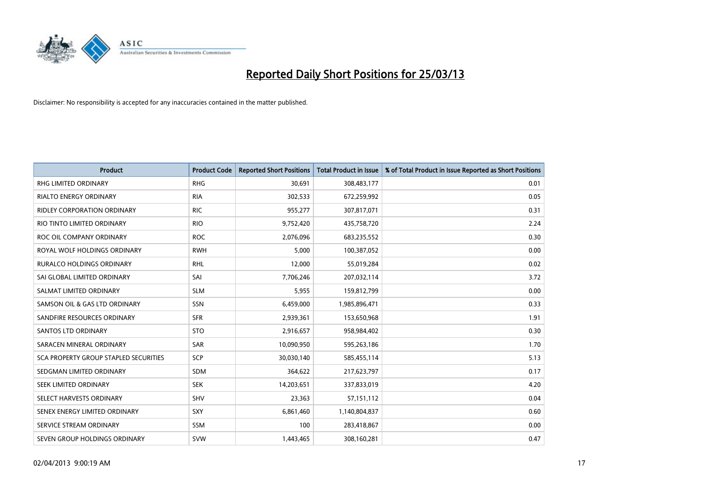

| <b>Product</b>                        | <b>Product Code</b> | <b>Reported Short Positions</b> | <b>Total Product in Issue</b> | % of Total Product in Issue Reported as Short Positions |
|---------------------------------------|---------------------|---------------------------------|-------------------------------|---------------------------------------------------------|
| <b>RHG LIMITED ORDINARY</b>           | <b>RHG</b>          | 30,691                          | 308,483,177                   | 0.01                                                    |
| <b>RIALTO ENERGY ORDINARY</b>         | <b>RIA</b>          | 302,533                         | 672,259,992                   | 0.05                                                    |
| <b>RIDLEY CORPORATION ORDINARY</b>    | <b>RIC</b>          | 955,277                         | 307,817,071                   | 0.31                                                    |
| RIO TINTO LIMITED ORDINARY            | <b>RIO</b>          | 9,752,420                       | 435,758,720                   | 2.24                                                    |
| ROC OIL COMPANY ORDINARY              | <b>ROC</b>          | 2,076,096                       | 683,235,552                   | 0.30                                                    |
| ROYAL WOLF HOLDINGS ORDINARY          | <b>RWH</b>          | 5,000                           | 100,387,052                   | 0.00                                                    |
| <b>RURALCO HOLDINGS ORDINARY</b>      | RHL                 | 12,000                          | 55,019,284                    | 0.02                                                    |
| SAI GLOBAL LIMITED ORDINARY           | SAI                 | 7,706,246                       | 207,032,114                   | 3.72                                                    |
| SALMAT LIMITED ORDINARY               | <b>SLM</b>          | 5,955                           | 159,812,799                   | 0.00                                                    |
| SAMSON OIL & GAS LTD ORDINARY         | <b>SSN</b>          | 6,459,000                       | 1,985,896,471                 | 0.33                                                    |
| SANDFIRE RESOURCES ORDINARY           | <b>SFR</b>          | 2,939,361                       | 153,650,968                   | 1.91                                                    |
| <b>SANTOS LTD ORDINARY</b>            | <b>STO</b>          | 2,916,657                       | 958,984,402                   | 0.30                                                    |
| SARACEN MINERAL ORDINARY              | <b>SAR</b>          | 10,090,950                      | 595,263,186                   | 1.70                                                    |
| SCA PROPERTY GROUP STAPLED SECURITIES | <b>SCP</b>          | 30,030,140                      | 585,455,114                   | 5.13                                                    |
| SEDGMAN LIMITED ORDINARY              | <b>SDM</b>          | 364,622                         | 217,623,797                   | 0.17                                                    |
| SEEK LIMITED ORDINARY                 | <b>SEK</b>          | 14,203,651                      | 337,833,019                   | 4.20                                                    |
| SELECT HARVESTS ORDINARY              | SHV                 | 23,363                          | 57,151,112                    | 0.04                                                    |
| SENEX ENERGY LIMITED ORDINARY         | SXY                 | 6,861,460                       | 1,140,804,837                 | 0.60                                                    |
| SERVICE STREAM ORDINARY               | <b>SSM</b>          | 100                             | 283,418,867                   | 0.00                                                    |
| SEVEN GROUP HOLDINGS ORDINARY         | <b>SVW</b>          | 1,443,465                       | 308,160,281                   | 0.47                                                    |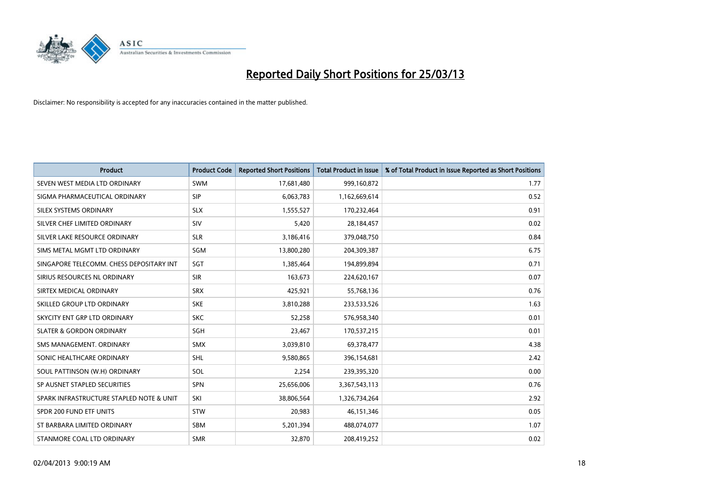

| <b>Product</b>                           | <b>Product Code</b> | <b>Reported Short Positions</b> | <b>Total Product in Issue</b> | % of Total Product in Issue Reported as Short Positions |
|------------------------------------------|---------------------|---------------------------------|-------------------------------|---------------------------------------------------------|
| SEVEN WEST MEDIA LTD ORDINARY            | <b>SWM</b>          | 17,681,480                      | 999,160,872                   | 1.77                                                    |
| SIGMA PHARMACEUTICAL ORDINARY            | <b>SIP</b>          | 6,063,783                       | 1,162,669,614                 | 0.52                                                    |
| SILEX SYSTEMS ORDINARY                   | <b>SLX</b>          | 1,555,527                       | 170,232,464                   | 0.91                                                    |
| SILVER CHEF LIMITED ORDINARY             | SIV                 | 5,420                           | 28,184,457                    | 0.02                                                    |
| SILVER LAKE RESOURCE ORDINARY            | <b>SLR</b>          | 3,186,416                       | 379,048,750                   | 0.84                                                    |
| SIMS METAL MGMT LTD ORDINARY             | SGM                 | 13,800,280                      | 204,309,387                   | 6.75                                                    |
| SINGAPORE TELECOMM. CHESS DEPOSITARY INT | <b>SGT</b>          | 1,385,464                       | 194,899,894                   | 0.71                                                    |
| SIRIUS RESOURCES NL ORDINARY             | <b>SIR</b>          | 163,673                         | 224,620,167                   | 0.07                                                    |
| SIRTEX MEDICAL ORDINARY                  | <b>SRX</b>          | 425,921                         | 55,768,136                    | 0.76                                                    |
| SKILLED GROUP LTD ORDINARY               | <b>SKE</b>          | 3,810,288                       | 233,533,526                   | 1.63                                                    |
| SKYCITY ENT GRP LTD ORDINARY             | <b>SKC</b>          | 52,258                          | 576,958,340                   | 0.01                                                    |
| <b>SLATER &amp; GORDON ORDINARY</b>      | SGH                 | 23,467                          | 170,537,215                   | 0.01                                                    |
| SMS MANAGEMENT. ORDINARY                 | <b>SMX</b>          | 3,039,810                       | 69,378,477                    | 4.38                                                    |
| SONIC HEALTHCARE ORDINARY                | <b>SHL</b>          | 9,580,865                       | 396,154,681                   | 2.42                                                    |
| SOUL PATTINSON (W.H) ORDINARY            | SOL                 | 2,254                           | 239,395,320                   | 0.00                                                    |
| SP AUSNET STAPLED SECURITIES             | SPN                 | 25,656,006                      | 3,367,543,113                 | 0.76                                                    |
| SPARK INFRASTRUCTURE STAPLED NOTE & UNIT | SKI                 | 38,806,564                      | 1,326,734,264                 | 2.92                                                    |
| SPDR 200 FUND ETF UNITS                  | <b>STW</b>          | 20,983                          | 46,151,346                    | 0.05                                                    |
| ST BARBARA LIMITED ORDINARY              | <b>SBM</b>          | 5,201,394                       | 488,074,077                   | 1.07                                                    |
| STANMORE COAL LTD ORDINARY               | <b>SMR</b>          | 32,870                          | 208,419,252                   | 0.02                                                    |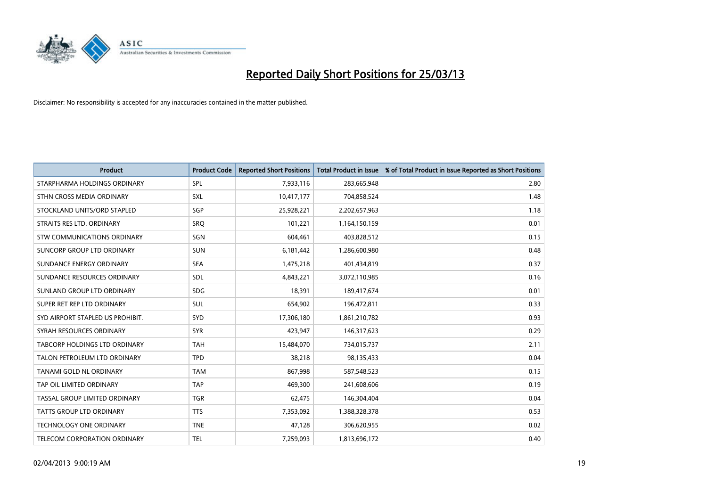

| <b>Product</b>                   | <b>Product Code</b> | <b>Reported Short Positions</b> | <b>Total Product in Issue</b> | % of Total Product in Issue Reported as Short Positions |
|----------------------------------|---------------------|---------------------------------|-------------------------------|---------------------------------------------------------|
| STARPHARMA HOLDINGS ORDINARY     | SPL                 | 7,933,116                       | 283,665,948                   | 2.80                                                    |
| STHN CROSS MEDIA ORDINARY        | <b>SXL</b>          | 10,417,177                      | 704,858,524                   | 1.48                                                    |
| STOCKLAND UNITS/ORD STAPLED      | SGP                 | 25,928,221                      | 2,202,657,963                 | 1.18                                                    |
| STRAITS RES LTD. ORDINARY        | <b>SRQ</b>          | 101,221                         | 1,164,150,159                 | 0.01                                                    |
| STW COMMUNICATIONS ORDINARY      | SGN                 | 604,461                         | 403,828,512                   | 0.15                                                    |
| SUNCORP GROUP LTD ORDINARY       | <b>SUN</b>          | 6,181,442                       | 1,286,600,980                 | 0.48                                                    |
| SUNDANCE ENERGY ORDINARY         | <b>SEA</b>          | 1,475,218                       | 401,434,819                   | 0.37                                                    |
| SUNDANCE RESOURCES ORDINARY      | SDL                 | 4,843,221                       | 3,072,110,985                 | 0.16                                                    |
| SUNLAND GROUP LTD ORDINARY       | <b>SDG</b>          | 18,391                          | 189,417,674                   | 0.01                                                    |
| SUPER RET REP LTD ORDINARY       | <b>SUL</b>          | 654,902                         | 196,472,811                   | 0.33                                                    |
| SYD AIRPORT STAPLED US PROHIBIT. | <b>SYD</b>          | 17,306,180                      | 1,861,210,782                 | 0.93                                                    |
| SYRAH RESOURCES ORDINARY         | <b>SYR</b>          | 423,947                         | 146,317,623                   | 0.29                                                    |
| TABCORP HOLDINGS LTD ORDINARY    | <b>TAH</b>          | 15,484,070                      | 734,015,737                   | 2.11                                                    |
| TALON PETROLEUM LTD ORDINARY     | <b>TPD</b>          | 38,218                          | 98,135,433                    | 0.04                                                    |
| TANAMI GOLD NL ORDINARY          | <b>TAM</b>          | 867,998                         | 587,548,523                   | 0.15                                                    |
| TAP OIL LIMITED ORDINARY         | <b>TAP</b>          | 469,300                         | 241,608,606                   | 0.19                                                    |
| TASSAL GROUP LIMITED ORDINARY    | <b>TGR</b>          | 62,475                          | 146,304,404                   | 0.04                                                    |
| <b>TATTS GROUP LTD ORDINARY</b>  | <b>TTS</b>          | 7,353,092                       | 1,388,328,378                 | 0.53                                                    |
| <b>TECHNOLOGY ONE ORDINARY</b>   | <b>TNE</b>          | 47,128                          | 306,620,955                   | 0.02                                                    |
| TELECOM CORPORATION ORDINARY     | <b>TEL</b>          | 7,259,093                       | 1,813,696,172                 | 0.40                                                    |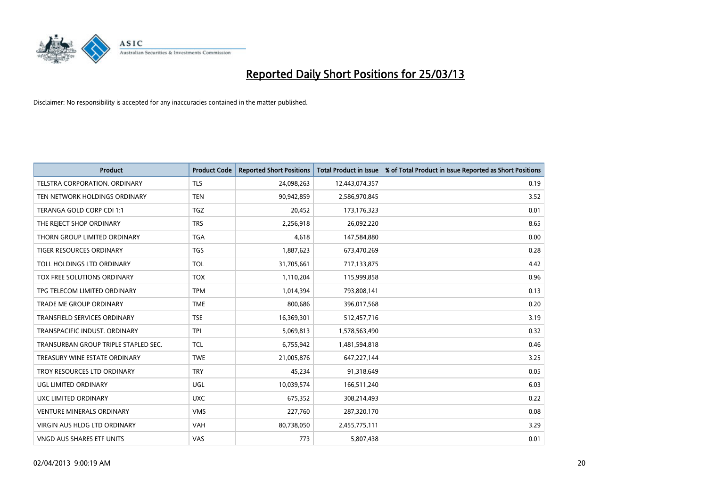

| <b>Product</b>                       | <b>Product Code</b> | <b>Reported Short Positions</b> | <b>Total Product in Issue</b> | % of Total Product in Issue Reported as Short Positions |
|--------------------------------------|---------------------|---------------------------------|-------------------------------|---------------------------------------------------------|
| TELSTRA CORPORATION, ORDINARY        | <b>TLS</b>          | 24,098,263                      | 12,443,074,357                | 0.19                                                    |
| TEN NETWORK HOLDINGS ORDINARY        | <b>TEN</b>          | 90,942,859                      | 2,586,970,845                 | 3.52                                                    |
| TERANGA GOLD CORP CDI 1:1            | <b>TGZ</b>          | 20,452                          | 173,176,323                   | 0.01                                                    |
| THE REJECT SHOP ORDINARY             | <b>TRS</b>          | 2,256,918                       | 26,092,220                    | 8.65                                                    |
| THORN GROUP LIMITED ORDINARY         | <b>TGA</b>          | 4,618                           | 147,584,880                   | 0.00                                                    |
| <b>TIGER RESOURCES ORDINARY</b>      | <b>TGS</b>          | 1,887,623                       | 673,470,269                   | 0.28                                                    |
| TOLL HOLDINGS LTD ORDINARY           | <b>TOL</b>          | 31,705,661                      | 717,133,875                   | 4.42                                                    |
| TOX FREE SOLUTIONS ORDINARY          | <b>TOX</b>          | 1,110,204                       | 115,999,858                   | 0.96                                                    |
| TPG TELECOM LIMITED ORDINARY         | <b>TPM</b>          | 1,014,394                       | 793,808,141                   | 0.13                                                    |
| <b>TRADE ME GROUP ORDINARY</b>       | <b>TME</b>          | 800,686                         | 396,017,568                   | 0.20                                                    |
| TRANSFIELD SERVICES ORDINARY         | <b>TSE</b>          | 16,369,301                      | 512,457,716                   | 3.19                                                    |
| TRANSPACIFIC INDUST, ORDINARY        | <b>TPI</b>          | 5,069,813                       | 1,578,563,490                 | 0.32                                                    |
| TRANSURBAN GROUP TRIPLE STAPLED SEC. | <b>TCL</b>          | 6,755,942                       | 1,481,594,818                 | 0.46                                                    |
| TREASURY WINE ESTATE ORDINARY        | <b>TWE</b>          | 21,005,876                      | 647,227,144                   | 3.25                                                    |
| TROY RESOURCES LTD ORDINARY          | <b>TRY</b>          | 45,234                          | 91,318,649                    | 0.05                                                    |
| UGL LIMITED ORDINARY                 | UGL                 | 10,039,574                      | 166,511,240                   | 6.03                                                    |
| UXC LIMITED ORDINARY                 | <b>UXC</b>          | 675,352                         | 308,214,493                   | 0.22                                                    |
| <b>VENTURE MINERALS ORDINARY</b>     | <b>VMS</b>          | 227,760                         | 287,320,170                   | 0.08                                                    |
| <b>VIRGIN AUS HLDG LTD ORDINARY</b>  | <b>VAH</b>          | 80,738,050                      | 2,455,775,111                 | 3.29                                                    |
| VNGD AUS SHARES ETF UNITS            | <b>VAS</b>          | 773                             | 5,807,438                     | 0.01                                                    |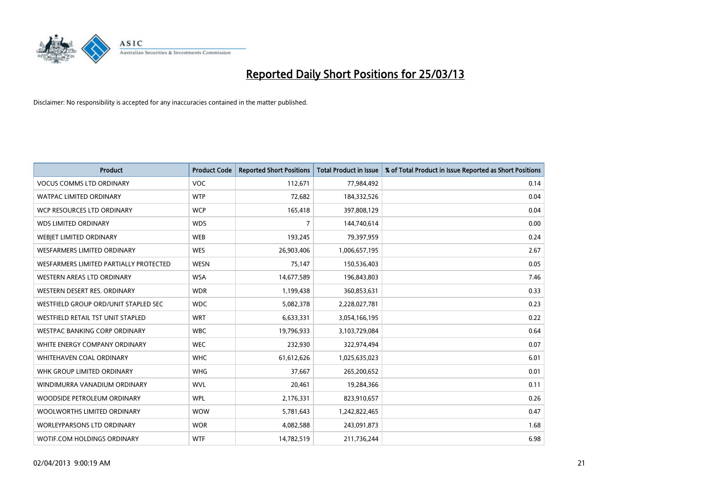

| <b>Product</b>                         | <b>Product Code</b> | <b>Reported Short Positions</b> | <b>Total Product in Issue</b> | % of Total Product in Issue Reported as Short Positions |
|----------------------------------------|---------------------|---------------------------------|-------------------------------|---------------------------------------------------------|
| <b>VOCUS COMMS LTD ORDINARY</b>        | <b>VOC</b>          | 112,671                         | 77,984,492                    | 0.14                                                    |
| <b>WATPAC LIMITED ORDINARY</b>         | <b>WTP</b>          | 72,682                          | 184,332,526                   | 0.04                                                    |
| WCP RESOURCES LTD ORDINARY             | <b>WCP</b>          | 165,418                         | 397,808,129                   | 0.04                                                    |
| WDS LIMITED ORDINARY                   | <b>WDS</b>          | 7                               | 144,740,614                   | 0.00                                                    |
| WEBJET LIMITED ORDINARY                | <b>WEB</b>          | 193,245                         | 79,397,959                    | 0.24                                                    |
| <b>WESFARMERS LIMITED ORDINARY</b>     | <b>WES</b>          | 26,903,406                      | 1,006,657,195                 | 2.67                                                    |
| WESFARMERS LIMITED PARTIALLY PROTECTED | <b>WESN</b>         | 75,147                          | 150,536,403                   | 0.05                                                    |
| WESTERN AREAS LTD ORDINARY             | <b>WSA</b>          | 14,677,589                      | 196,843,803                   | 7.46                                                    |
| WESTERN DESERT RES. ORDINARY           | <b>WDR</b>          | 1,199,438                       | 360,853,631                   | 0.33                                                    |
| WESTFIELD GROUP ORD/UNIT STAPLED SEC   | <b>WDC</b>          | 5,082,378                       | 2,228,027,781                 | 0.23                                                    |
| WESTFIELD RETAIL TST UNIT STAPLED      | <b>WRT</b>          | 6,633,331                       | 3,054,166,195                 | 0.22                                                    |
| WESTPAC BANKING CORP ORDINARY          | <b>WBC</b>          | 19,796,933                      | 3,103,729,084                 | 0.64                                                    |
| WHITE ENERGY COMPANY ORDINARY          | <b>WEC</b>          | 232,930                         | 322,974,494                   | 0.07                                                    |
| WHITEHAVEN COAL ORDINARY               | <b>WHC</b>          | 61,612,626                      | 1,025,635,023                 | 6.01                                                    |
| WHK GROUP LIMITED ORDINARY             | <b>WHG</b>          | 37,667                          | 265,200,652                   | 0.01                                                    |
| WINDIMURRA VANADIUM ORDINARY           | <b>WVL</b>          | 20,461                          | 19,284,366                    | 0.11                                                    |
| WOODSIDE PETROLEUM ORDINARY            | <b>WPL</b>          | 2,176,331                       | 823,910,657                   | 0.26                                                    |
| WOOLWORTHS LIMITED ORDINARY            | <b>WOW</b>          | 5,781,643                       | 1,242,822,465                 | 0.47                                                    |
| <b>WORLEYPARSONS LTD ORDINARY</b>      | <b>WOR</b>          | 4,082,588                       | 243,091,873                   | 1.68                                                    |
| WOTIF.COM HOLDINGS ORDINARY            | <b>WTF</b>          | 14,782,519                      | 211,736,244                   | 6.98                                                    |